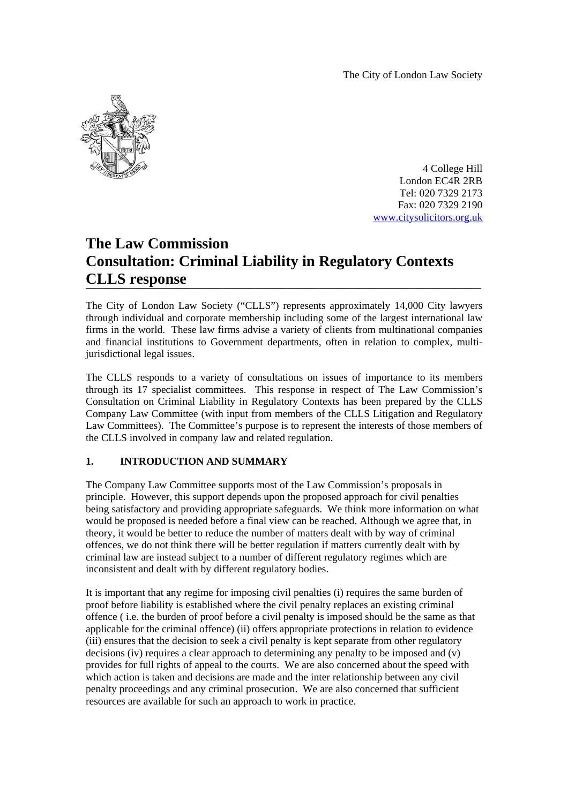The City of London Law Society



4 College Hill London EC4R 2RB Tel: 020 7329 2173 Fax: 020 7329 2190 www.citysolicitors.org.uk

# **The Law Commission Consultation: Criminal Liability in Regulatory Contexts CLLS response \_\_\_\_\_\_\_\_\_\_\_\_\_\_\_\_\_\_\_\_\_\_\_\_\_\_\_\_\_\_\_\_\_\_\_\_\_\_\_\_\_\_\_\_\_\_\_\_\_\_\_\_\_\_\_\_\_\_\_\_\_\_\_\_\_\_\_\_\_\_\_\_\_\_\_**

The City of London Law Society ("CLLS") represents approximately 14,000 City lawyers through individual and corporate membership including some of the largest international law firms in the world. These law firms advise a variety of clients from multinational companies and financial institutions to Government departments, often in relation to complex, multijurisdictional legal issues.

The CLLS responds to a variety of consultations on issues of importance to its members through its 17 specialist committees. This response in respect of The Law Commission's Consultation on Criminal Liability in Regulatory Contexts has been prepared by the CLLS Company Law Committee (with input from members of the CLLS Litigation and Regulatory Law Committees). The Committee's purpose is to represent the interests of those members of the CLLS involved in company law and related regulation.

# **1. INTRODUCTION AND SUMMARY**

The Company Law Committee supports most of the Law Commission's proposals in principle. However, this support depends upon the proposed approach for civil penalties being satisfactory and providing appropriate safeguards. We think more information on what would be proposed is needed before a final view can be reached. Although we agree that, in theory, it would be better to reduce the number of matters dealt with by way of criminal offences, we do not think there will be better regulation if matters currently dealt with by criminal law are instead subject to a number of different regulatory regimes which are inconsistent and dealt with by different regulatory bodies.

It is important that any regime for imposing civil penalties (i) requires the same burden of proof before liability is established where the civil penalty replaces an existing criminal offence ( i.e. the burden of proof before a civil penalty is imposed should be the same as that applicable for the criminal offence) (ii) offers appropriate protections in relation to evidence (iii) ensures that the decision to seek a civil penalty is kept separate from other regulatory decisions (iv) requires a clear approach to determining any penalty to be imposed and (v) provides for full rights of appeal to the courts. We are also concerned about the speed with which action is taken and decisions are made and the inter relationship between any civil penalty proceedings and any criminal prosecution. We are also concerned that sufficient resources are available for such an approach to work in practice.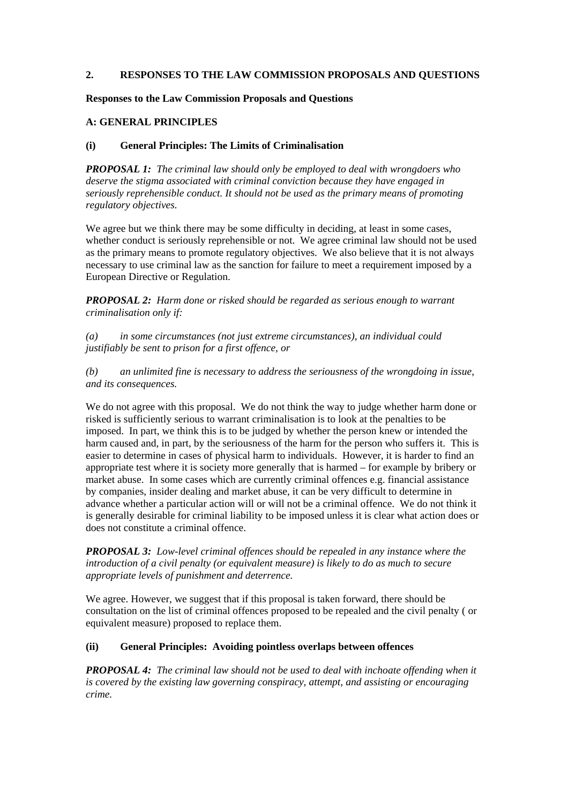#### **2. RESPONSES TO THE LAW COMMISSION PROPOSALS AND QUESTIONS**

#### **Responses to the Law Commission Proposals and Questions**

#### **A: GENERAL PRINCIPLES**

#### **(i) General Principles: The Limits of Criminalisation**

*PROPOSAL 1: The criminal law should only be employed to deal with wrongdoers who deserve the stigma associated with criminal conviction because they have engaged in seriously reprehensible conduct. It should not be used as the primary means of promoting regulatory objectives.* 

We agree but we think there may be some difficulty in deciding, at least in some cases, whether conduct is seriously reprehensible or not. We agree criminal law should not be used as the primary means to promote regulatory objectives. We also believe that it is not always necessary to use criminal law as the sanction for failure to meet a requirement imposed by a European Directive or Regulation.

*PROPOSAL 2: Harm done or risked should be regarded as serious enough to warrant criminalisation only if:* 

*(a) in some circumstances (not just extreme circumstances), an individual could justifiably be sent to prison for a first offence, or* 

*(b) an unlimited fine is necessary to address the seriousness of the wrongdoing in issue, and its consequences.* 

We do not agree with this proposal. We do not think the way to judge whether harm done or risked is sufficiently serious to warrant criminalisation is to look at the penalties to be imposed. In part, we think this is to be judged by whether the person knew or intended the harm caused and, in part, by the seriousness of the harm for the person who suffers it. This is easier to determine in cases of physical harm to individuals. However, it is harder to find an appropriate test where it is society more generally that is harmed – for example by bribery or market abuse. In some cases which are currently criminal offences e.g. financial assistance by companies, insider dealing and market abuse, it can be very difficult to determine in advance whether a particular action will or will not be a criminal offence. We do not think it is generally desirable for criminal liability to be imposed unless it is clear what action does or does not constitute a criminal offence.

*PROPOSAL 3: Low-level criminal offences should be repealed in any instance where the introduction of a civil penalty (or equivalent measure) is likely to do as much to secure appropriate levels of punishment and deterrence.* 

We agree. However, we suggest that if this proposal is taken forward, there should be consultation on the list of criminal offences proposed to be repealed and the civil penalty ( or equivalent measure) proposed to replace them.

#### **(ii) General Principles: Avoiding pointless overlaps between offences**

*PROPOSAL 4: The criminal law should not be used to deal with inchoate offending when it is covered by the existing law governing conspiracy, attempt, and assisting or encouraging crime.*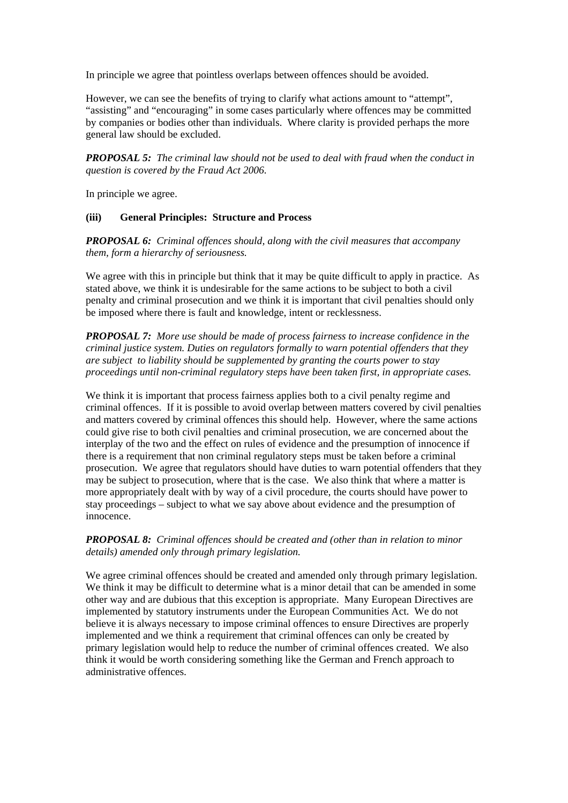In principle we agree that pointless overlaps between offences should be avoided.

However, we can see the benefits of trying to clarify what actions amount to "attempt", "assisting" and "encouraging" in some cases particularly where offences may be committed by companies or bodies other than individuals. Where clarity is provided perhaps the more general law should be excluded.

*PROPOSAL 5: The criminal law should not be used to deal with fraud when the conduct in question is covered by the Fraud Act 2006.* 

In principle we agree.

#### **(iii) General Principles: Structure and Process**

*PROPOSAL 6: Criminal offences should, along with the civil measures that accompany them, form a hierarchy of seriousness.* 

We agree with this in principle but think that it may be quite difficult to apply in practice. As stated above, we think it is undesirable for the same actions to be subject to both a civil penalty and criminal prosecution and we think it is important that civil penalties should only be imposed where there is fault and knowledge, intent or recklessness.

*PROPOSAL 7: More use should be made of process fairness to increase confidence in the criminal justice system. Duties on regulators formally to warn potential offenders that they are subject to liability should be supplemented by granting the courts power to stay proceedings until non-criminal regulatory steps have been taken first, in appropriate cases.* 

We think it is important that process fairness applies both to a civil penalty regime and criminal offences. If it is possible to avoid overlap between matters covered by civil penalties and matters covered by criminal offences this should help. However, where the same actions could give rise to both civil penalties and criminal prosecution, we are concerned about the interplay of the two and the effect on rules of evidence and the presumption of innocence if there is a requirement that non criminal regulatory steps must be taken before a criminal prosecution. We agree that regulators should have duties to warn potential offenders that they may be subject to prosecution, where that is the case. We also think that where a matter is more appropriately dealt with by way of a civil procedure, the courts should have power to stay proceedings – subject to what we say above about evidence and the presumption of innocence.

#### *PROPOSAL 8: Criminal offences should be created and (other than in relation to minor details) amended only through primary legislation.*

We agree criminal offences should be created and amended only through primary legislation. We think it may be difficult to determine what is a minor detail that can be amended in some other way and are dubious that this exception is appropriate. Many European Directives are implemented by statutory instruments under the European Communities Act. We do not believe it is always necessary to impose criminal offences to ensure Directives are properly implemented and we think a requirement that criminal offences can only be created by primary legislation would help to reduce the number of criminal offences created. We also think it would be worth considering something like the German and French approach to administrative offences.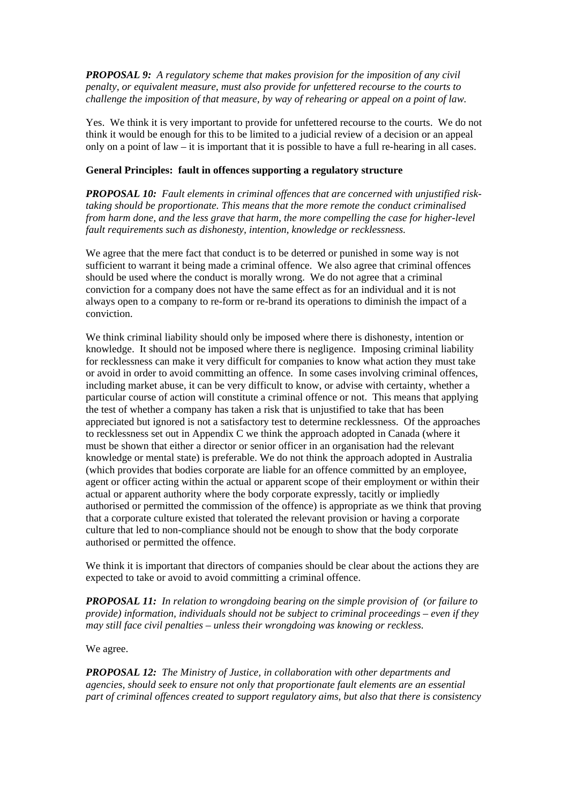*PROPOSAL 9: A regulatory scheme that makes provision for the imposition of any civil penalty, or equivalent measure, must also provide for unfettered recourse to the courts to challenge the imposition of that measure, by way of rehearing or appeal on a point of law.* 

Yes. We think it is very important to provide for unfettered recourse to the courts. We do not think it would be enough for this to be limited to a judicial review of a decision or an appeal only on a point of law  $-$  it is important that it is possible to have a full re-hearing in all cases.

#### **General Principles: fault in offences supporting a regulatory structure**

*PROPOSAL 10: Fault elements in criminal offences that are concerned with unjustified risktaking should be proportionate. This means that the more remote the conduct criminalised from harm done, and the less grave that harm, the more compelling the case for higher-level fault requirements such as dishonesty, intention, knowledge or recklessness.* 

We agree that the mere fact that conduct is to be deterred or punished in some way is not sufficient to warrant it being made a criminal offence. We also agree that criminal offences should be used where the conduct is morally wrong. We do not agree that a criminal conviction for a company does not have the same effect as for an individual and it is not always open to a company to re-form or re-brand its operations to diminish the impact of a conviction.

We think criminal liability should only be imposed where there is dishonesty, intention or knowledge. It should not be imposed where there is negligence. Imposing criminal liability for recklessness can make it very difficult for companies to know what action they must take or avoid in order to avoid committing an offence. In some cases involving criminal offences, including market abuse, it can be very difficult to know, or advise with certainty, whether a particular course of action will constitute a criminal offence or not. This means that applying the test of whether a company has taken a risk that is unjustified to take that has been appreciated but ignored is not a satisfactory test to determine recklessness. Of the approaches to recklessness set out in Appendix C we think the approach adopted in Canada (where it must be shown that either a director or senior officer in an organisation had the relevant knowledge or mental state) is preferable. We do not think the approach adopted in Australia (which provides that bodies corporate are liable for an offence committed by an employee, agent or officer acting within the actual or apparent scope of their employment or within their actual or apparent authority where the body corporate expressly, tacitly or impliedly authorised or permitted the commission of the offence) is appropriate as we think that proving that a corporate culture existed that tolerated the relevant provision or having a corporate culture that led to non-compliance should not be enough to show that the body corporate authorised or permitted the offence.

We think it is important that directors of companies should be clear about the actions they are expected to take or avoid to avoid committing a criminal offence.

*PROPOSAL 11: In relation to wrongdoing bearing on the simple provision of (or failure to provide) information, individuals should not be subject to criminal proceedings – even if they may still face civil penalties – unless their wrongdoing was knowing or reckless.* 

#### We agree.

*PROPOSAL 12: The Ministry of Justice, in collaboration with other departments and agencies, should seek to ensure not only that proportionate fault elements are an essential part of criminal offences created to support regulatory aims, but also that there is consistency*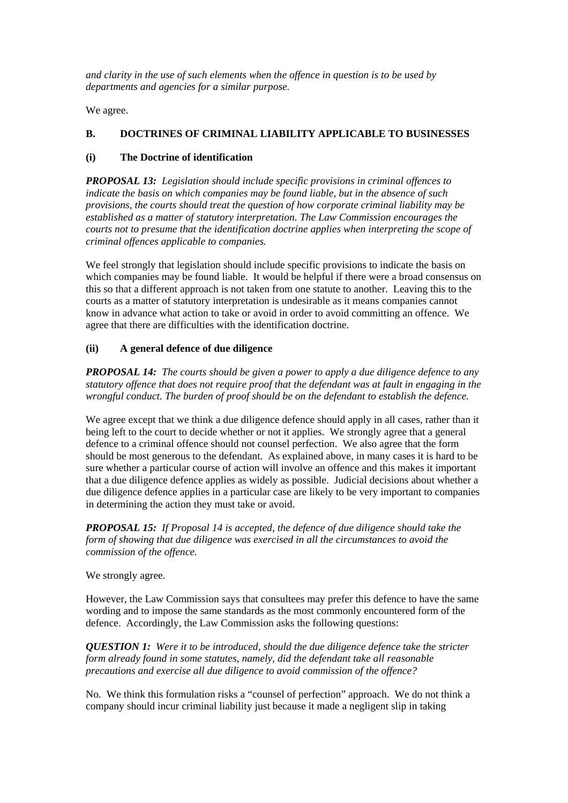*and clarity in the use of such elements when the offence in question is to be used by departments and agencies for a similar purpose.* 

We agree.

# **B. DOCTRINES OF CRIMINAL LIABILITY APPLICABLE TO BUSINESSES**

## **(i) The Doctrine of identification**

*PROPOSAL 13: Legislation should include specific provisions in criminal offences to indicate the basis on which companies may be found liable, but in the absence of such provisions, the courts should treat the question of how corporate criminal liability may be established as a matter of statutory interpretation. The Law Commission encourages the courts not to presume that the identification doctrine applies when interpreting the scope of criminal offences applicable to companies.* 

We feel strongly that legislation should include specific provisions to indicate the basis on which companies may be found liable. It would be helpful if there were a broad consensus on this so that a different approach is not taken from one statute to another. Leaving this to the courts as a matter of statutory interpretation is undesirable as it means companies cannot know in advance what action to take or avoid in order to avoid committing an offence. We agree that there are difficulties with the identification doctrine.

# **(ii) A general defence of due diligence**

*PROPOSAL 14: The courts should be given a power to apply a due diligence defence to any statutory offence that does not require proof that the defendant was at fault in engaging in the wrongful conduct. The burden of proof should be on the defendant to establish the defence.* 

We agree except that we think a due diligence defence should apply in all cases, rather than it being left to the court to decide whether or not it applies. We strongly agree that a general defence to a criminal offence should not counsel perfection. We also agree that the form should be most generous to the defendant. As explained above, in many cases it is hard to be sure whether a particular course of action will involve an offence and this makes it important that a due diligence defence applies as widely as possible. Judicial decisions about whether a due diligence defence applies in a particular case are likely to be very important to companies in determining the action they must take or avoid.

*PROPOSAL 15: If Proposal 14 is accepted, the defence of due diligence should take the form of showing that due diligence was exercised in all the circumstances to avoid the commission of the offence.* 

We strongly agree.

However, the Law Commission says that consultees may prefer this defence to have the same wording and to impose the same standards as the most commonly encountered form of the defence. Accordingly, the Law Commission asks the following questions:

*QUESTION 1: Were it to be introduced, should the due diligence defence take the stricter form already found in some statutes, namely, did the defendant take all reasonable precautions and exercise all due diligence to avoid commission of the offence?* 

No. We think this formulation risks a "counsel of perfection" approach. We do not think a company should incur criminal liability just because it made a negligent slip in taking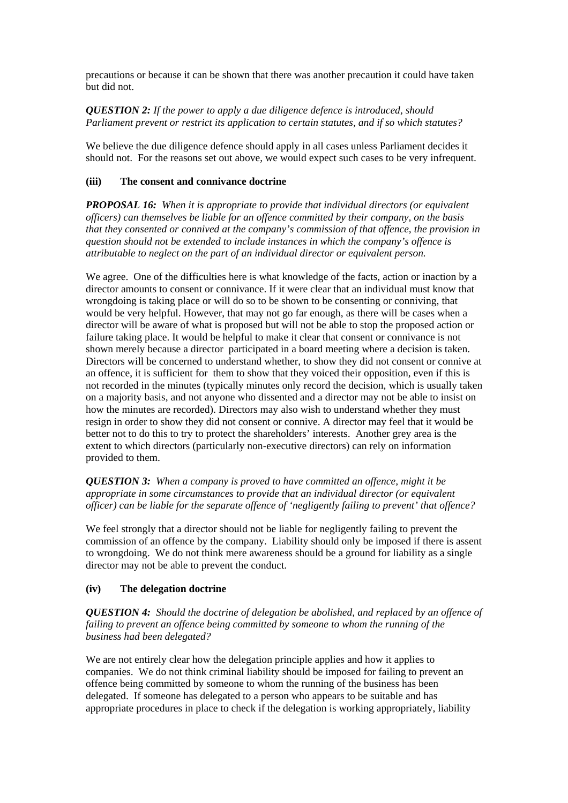precautions or because it can be shown that there was another precaution it could have taken but did not.

## *QUESTION 2: If the power to apply a due diligence defence is introduced, should Parliament prevent or restrict its application to certain statutes, and if so which statutes?*

We believe the due diligence defence should apply in all cases unless Parliament decides it should not. For the reasons set out above, we would expect such cases to be very infrequent.

#### **(iii) The consent and connivance doctrine**

*PROPOSAL 16: When it is appropriate to provide that individual directors (or equivalent officers) can themselves be liable for an offence committed by their company, on the basis that they consented or connived at the company's commission of that offence, the provision in question should not be extended to include instances in which the company's offence is attributable to neglect on the part of an individual director or equivalent person.* 

We agree. One of the difficulties here is what knowledge of the facts, action or inaction by a director amounts to consent or connivance. If it were clear that an individual must know that wrongdoing is taking place or will do so to be shown to be consenting or conniving, that would be very helpful. However, that may not go far enough, as there will be cases when a director will be aware of what is proposed but will not be able to stop the proposed action or failure taking place. It would be helpful to make it clear that consent or connivance is not shown merely because a director participated in a board meeting where a decision is taken. Directors will be concerned to understand whether, to show they did not consent or connive at an offence, it is sufficient for them to show that they voiced their opposition, even if this is not recorded in the minutes (typically minutes only record the decision, which is usually taken on a majority basis, and not anyone who dissented and a director may not be able to insist on how the minutes are recorded). Directors may also wish to understand whether they must resign in order to show they did not consent or connive. A director may feel that it would be better not to do this to try to protect the shareholders' interests. Another grey area is the extent to which directors (particularly non-executive directors) can rely on information provided to them.

## *QUESTION 3: When a company is proved to have committed an offence, might it be appropriate in some circumstances to provide that an individual director (or equivalent officer) can be liable for the separate offence of 'negligently failing to prevent' that offence?*

We feel strongly that a director should not be liable for negligently failing to prevent the commission of an offence by the company. Liability should only be imposed if there is assent to wrongdoing. We do not think mere awareness should be a ground for liability as a single director may not be able to prevent the conduct.

#### **(iv) The delegation doctrine**

*QUESTION 4: Should the doctrine of delegation be abolished, and replaced by an offence of failing to prevent an offence being committed by someone to whom the running of the business had been delegated?* 

We are not entirely clear how the delegation principle applies and how it applies to companies. We do not think criminal liability should be imposed for failing to prevent an offence being committed by someone to whom the running of the business has been delegated. If someone has delegated to a person who appears to be suitable and has appropriate procedures in place to check if the delegation is working appropriately, liability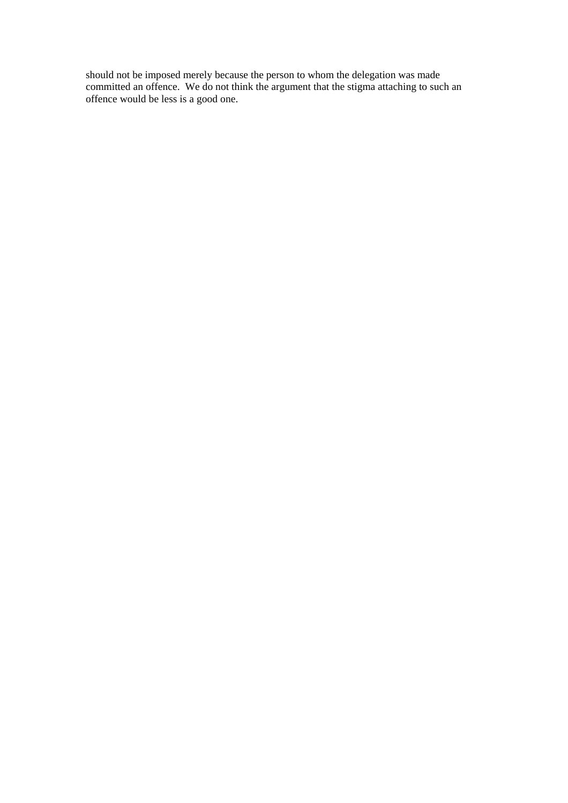should not be imposed merely because the person to whom the delegation was made committed an offence. We do not think the argument that the stigma attaching to such an offence would be less is a good one.